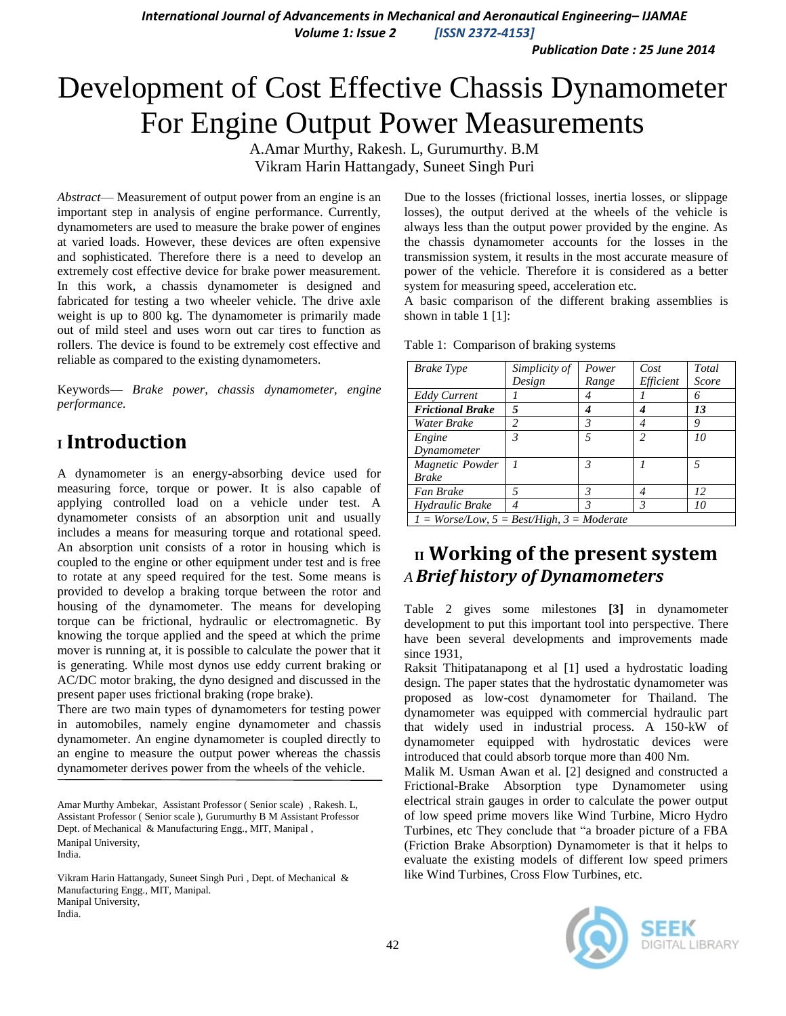*International Journal of Advancements in Mechanical and Aeronautical Engineering– IJAMAE Volume 1: Issue 2 [ISSN 2372-4153]*

*Publication Date : 25 June 2014*

# Development of [Cost Effective Chassis Dynamometer](http://www.ircet.org/Paper_Management.asp)  [For Engine Output Power Measurements](http://www.ircet.org/Paper_Management.asp)

A.Amar Murthy, Rakesh. L, Gurumurthy. B.M Vikram Harin Hattangady, Suneet Singh Puri

*Abstract*— Measurement of output power from an engine is an important step in analysis of engine performance. Currently, dynamometers are used to measure the brake power of engines at varied loads. However, these devices are often expensive and sophisticated. Therefore there is a need to develop an extremely cost effective device for brake power measurement. In this work, a chassis dynamometer is designed and fabricated for testing a two wheeler vehicle. The drive axle weight is up to 800 kg. The dynamometer is primarily made out of mild steel and uses worn out car tires to function as rollers. The device is found to be extremely cost effective and reliable as compared to the existing dynamometers.

Keywords— *Brake power, chassis dynamometer, engine performance.*

# **<sup>I</sup> Introduction**

A dynamometer is an energy-absorbing device used for measuring force, torque or power. It is also capable of applying controlled load on a vehicle under test. A dynamometer consists of an absorption unit and usually includes a means for measuring torque and rotational speed. An absorption unit consists of a rotor in housing which is coupled to the engine or other equipment under test and is free to rotate at any speed required for the test. Some means is provided to develop a braking torque between the rotor and housing of the dynamometer. The means for developing torque can be frictional, hydraulic or electromagnetic. By knowing the torque applied and the speed at which the prime mover is running at, it is possible to calculate the power that it is generating. While most dynos use eddy current braking or AC/DC motor braking, the dyno designed and discussed in the present paper uses frictional braking (rope brake).

There are two main types of dynamometers for testing power in automobiles, namely engine dynamometer and chassis dynamometer. An engine dynamometer is coupled directly to an engine to measure the output power whereas the chassis dynamometer derives power from the wheels of the vehicle.

Amar Murthy Ambekar, Assistant Professor ( Senior scale) , Rakesh. L, Assistant Professor ( Senior scale ), Gurumurthy B M Assistant Professor Dept. of Mechanical & Manufacturing Engg., MIT, Manipal , Manipal University, India.

Vikram Harin Hattangady, Suneet Singh Puri , Dept. of Mechanical & Manufacturing Engg., MIT, Manipal. Manipal University, India.

Due to the losses (frictional losses, inertia losses, or slippage losses), the output derived at the wheels of the vehicle is always less than the output power provided by the engine. As the chassis dynamometer accounts for the losses in the transmission system, it results in the most accurate measure of power of the vehicle. Therefore it is considered as a better system for measuring speed, acceleration etc.

A basic comparison of the different braking assemblies is shown in table 1 [1]:

| <b>Brake Type</b>                            | Simplicity of | Power          | Cost                     | Total |
|----------------------------------------------|---------------|----------------|--------------------------|-------|
|                                              | Design        | Range          | Efficient                | Score |
| <b>Eddy Current</b>                          |               | 4              |                          | 6     |
| <b>Frictional Brake</b>                      | 5             | 4              |                          | 13    |
| Water Brake                                  | 2             | 3              | 4                        | 9     |
| Engine                                       | 3             | $\overline{5}$ | $\overline{\mathcal{L}}$ | 10    |
| Dynamometer                                  |               |                |                          |       |
| Magnetic Powder                              |               | $\mathcal{R}$  |                          | 5     |
| <b>Brake</b>                                 |               |                |                          |       |
| Fan Brake                                    | 5             | 3              |                          | 12    |
| Hydraulic Brake                              | 4             | 3              | 3                        | 10    |
| $I = Worse/Low, 5 = Best/High, 3 = Moderate$ |               |                |                          |       |

Table 1: Comparison of braking systems

# **II Working of the present system** *A Brief history of Dynamometers*

Table 2 gives some milestones **[3]** in dynamometer development to put this important tool into perspective. There have been several developments and improvements made since 1931,

Raksit Thitipatanapong et al [1] used a hydrostatic loading design. The paper states that the hydrostatic dynamometer was proposed as low-cost dynamometer for Thailand. The dynamometer was equipped with commercial hydraulic part that widely used in industrial process. A 150-kW of dynamometer equipped with hydrostatic devices were introduced that could absorb torque more than 400 Nm.

Malik M. Usman Awan et al. [2] designed and constructed a Frictional-Brake Absorption type Dynamometer using electrical strain gauges in order to calculate the power output of low speed prime movers like Wind Turbine, Micro Hydro Turbines, etc They conclude that "a broader picture of a FBA (Friction Brake Absorption) Dynamometer is that it helps to evaluate the existing models of different low speed primers like Wind Turbines, Cross Flow Turbines, etc.

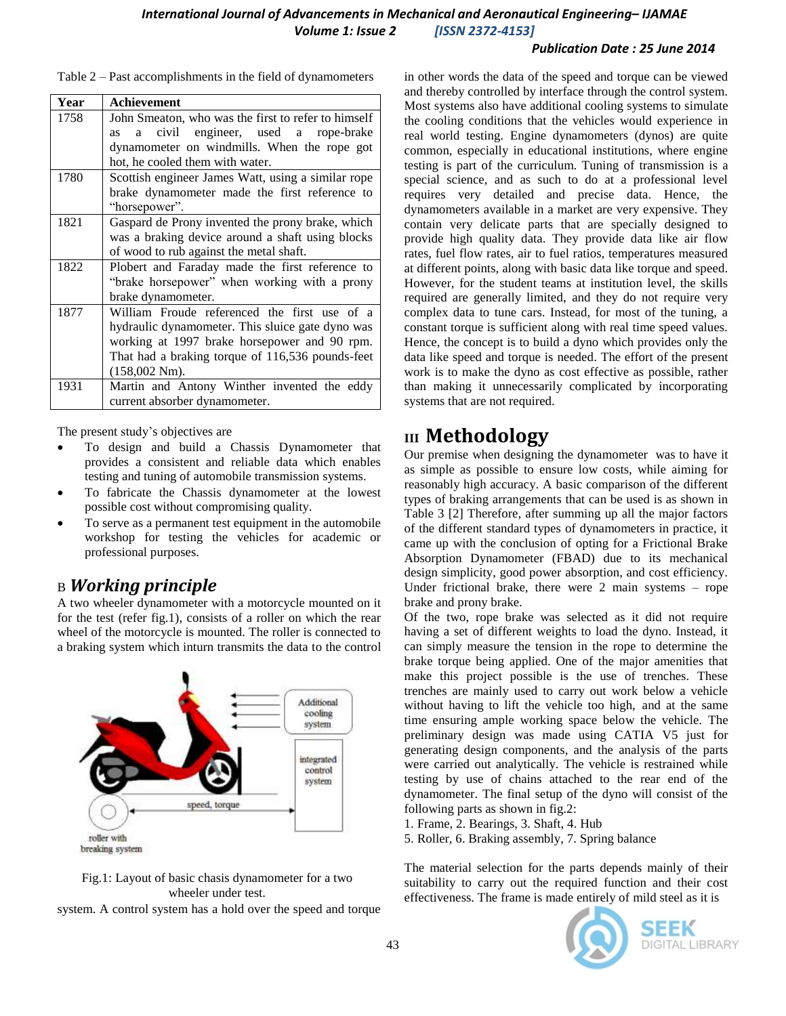#### *International Journal of Advancements in Mechanical and Aeronautical Engineering– IJAMAE Volume 1: Issue 2 [ISSN 2372-4153]*

#### *Publication Date : 25 June 2014*

| Year | <b>Achievement</b>                                  |
|------|-----------------------------------------------------|
| 1758 | John Smeaton, who was the first to refer to himself |
|      | civil engineer, used a rope-brake<br>a<br>as        |
|      | dynamometer on windmills. When the rope got         |
|      | hot, he cooled them with water.                     |
| 1780 | Scottish engineer James Watt, using a similar rope  |
|      | brake dynamometer made the first reference to       |
|      | "horsepower".                                       |
| 1821 | Gaspard de Prony invented the prony brake, which    |
|      | was a braking device around a shaft using blocks    |
|      | of wood to rub against the metal shaft.             |
| 1822 | Plobert and Faraday made the first reference to     |
|      | "brake horsepower" when working with a prony        |
|      | brake dynamometer.                                  |
| 1877 | William Froude referenced the first use of a        |
|      | hydraulic dynamometer. This sluice gate dyno was    |
|      | working at 1997 brake horsepower and 90 rpm.        |
|      | That had a braking torque of 116,536 pounds-feet    |
|      | $(158,002 \text{ Nm}).$                             |
| 1931 | Martin and Antony Winther invented the eddy         |
|      | current absorber dynamometer.                       |

Table 2 – Past accomplishments in the field of dynamometers

The present study's objectives are

- To design and build a Chassis Dynamometer that provides a consistent and reliable data which enables testing and tuning of automobile transmission systems.
- To fabricate the Chassis dynamometer at the lowest possible cost without compromising quality.
- To serve as a permanent test equipment in the automobile workshop for testing the vehicles for academic or professional purposes.

### B *Working principle*

A two wheeler dynamometer with a motorcycle mounted on it for the test (refer fig.1), consists of a roller on which the rear wheel of the motorcycle is mounted. The roller is connected to a braking system which inturn transmits the data to the control





system. A control system has a hold over the speed and torque

in other words the data of the speed and torque can be viewed and thereby controlled by interface through the control system. Most systems also have additional cooling systems to simulate the cooling conditions that the vehicles would experience in real world testing. Engine dynamometers (dynos) are quite common, especially in educational institutions, where engine testing is part of the curriculum. Tuning of transmission is a special science, and as such to do at a professional level requires very detailed and precise data. Hence, the dynamometers available in a market are very expensive. They contain very delicate parts that are specially designed to provide high quality data. They provide data like air flow rates, fuel flow rates, air to fuel ratios, temperatures measured at different points, along with basic data like torque and speed. However, for the student teams at institution level, the skills required are generally limited, and they do not require very complex data to tune cars. Instead, for most of the tuning, a constant torque is sufficient along with real time speed values. Hence, the concept is to build a dyno which provides only the data like speed and torque is needed. The effort of the present work is to make the dyno as cost effective as possible, rather than making it unnecessarily complicated by incorporating systems that are not required.

# **III Methodology**

Our premise when designing the dynamometer was to have it as simple as possible to ensure low costs, while aiming for reasonably high accuracy. A basic comparison of the different types of braking arrangements that can be used is as shown in Table 3 [2] Therefore, after summing up all the major factors of the different standard types of dynamometers in practice, it came up with the conclusion of opting for a Frictional Brake Absorption Dynamometer (FBAD) due to its mechanical design simplicity, good power absorption, and cost efficiency. Under frictional brake, there were 2 main systems – rope brake and prony brake.

Of the two, rope brake was selected as it did not require having a set of different weights to load the dyno. Instead, it can simply measure the tension in the rope to determine the brake torque being applied. One of the major amenities that make this project possible is the use of trenches. These trenches are mainly used to carry out work below a vehicle without having to lift the vehicle too high, and at the same time ensuring ample working space below the vehicle. The preliminary design was made using CATIA V5 just for generating design components, and the analysis of the parts were carried out analytically. The vehicle is restrained while testing by use of chains attached to the rear end of the dynamometer. The final setup of the dyno will consist of the following parts as shown in fig.2:

1. Frame, 2. Bearings, 3. Shaft, 4. Hub

5. Roller, 6. Braking assembly, 7. Spring balance

The material selection for the parts depends mainly of their suitability to carry out the required function and their cost effectiveness. The frame is made entirely of mild steel as it is

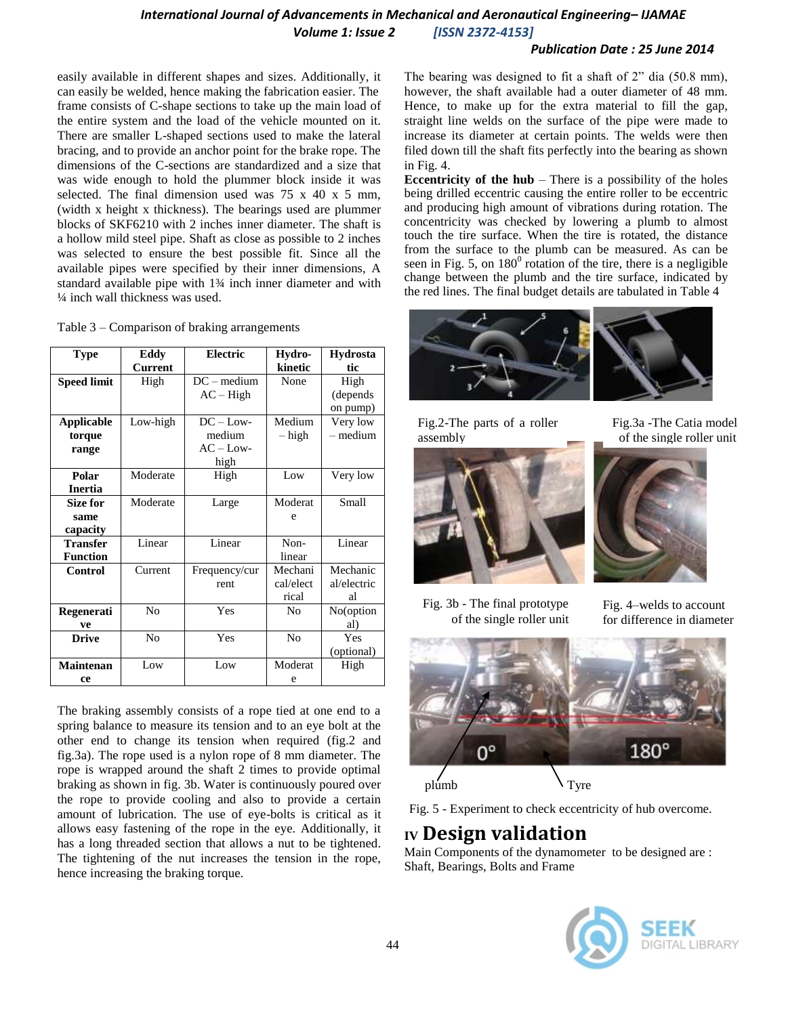#### *International Journal of Advancements in Mechanical and Aeronautical Engineering– IJAMAE Volume 1: Issue 2 [ISSN 2372-4153]*

#### *Publication Date : 25 June 2014*

easily available in different shapes and sizes. Additionally, it can easily be welded, hence making the fabrication easier. The frame consists of C-shape sections to take up the main load of the entire system and the load of the vehicle mounted on it. There are smaller L-shaped sections used to make the lateral bracing, and to provide an anchor point for the brake rope. The dimensions of the C-sections are standardized and a size that was wide enough to hold the plummer block inside it was selected. The final dimension used was 75 x 40 x 5 mm, (width x height x thickness). The bearings used are plummer blocks of SKF6210 with 2 inches inner diameter. The shaft is a hollow mild steel pipe. Shaft as close as possible to 2 inches was selected to ensure the best possible fit. Since all the available pipes were specified by their inner dimensions, A standard available pipe with 1¾ inch inner diameter and with ¼ inch wall thickness was used.

| Table $3$ – Comparison of braking arrangements |  |  |
|------------------------------------------------|--|--|
|------------------------------------------------|--|--|

| <b>Type</b>        | Eddy           | <b>Electric</b> | Hydro-         | <b>Hydrosta</b> |
|--------------------|----------------|-----------------|----------------|-----------------|
|                    | <b>Current</b> |                 | kinetic        | tic             |
| <b>Speed limit</b> | High           | $DC - medium$   | None           | High            |
|                    |                | $AC - High$     |                | (depends)       |
|                    |                |                 |                | on pump)        |
| <b>Applicable</b>  | Low-high       | $DC - Low-$     | Medium         | Very low        |
| torque             |                | medium          | – high         | $-$ medium      |
| range              |                | $AC - Low-$     |                |                 |
|                    |                | high            |                |                 |
| Polar              | Moderate       | High            | Low            | Very low        |
| <b>Inertia</b>     |                |                 |                |                 |
| <b>Size for</b>    | Moderate       | Large           | Moderat        | Small           |
| same               |                |                 | e              |                 |
| capacity           |                |                 |                |                 |
| <b>Transfer</b>    | Linear         | Linear          | Non-           | Linear          |
| <b>Function</b>    |                |                 | linear         |                 |
| <b>Control</b>     | Current        | Frequency/cur   | Mechani        | Mechanic        |
|                    |                | rent            | cal/elect      | al/electric     |
|                    |                |                 | rical          | al              |
| Regenerati         | N <sub>0</sub> | Yes             | N <sub>0</sub> | No(option       |
| ve                 |                |                 |                | al)             |
| <b>Drive</b>       | N <sub>0</sub> | Yes             | No             | Yes             |
|                    |                |                 |                | (optional)      |
| <b>Maintenan</b>   | Low            | Low             | Moderat        | High            |
| ce                 |                |                 | e              |                 |

The braking assembly consists of a rope tied at one end to a spring balance to measure its tension and to an eye bolt at the other end to change its tension when required (fig.2 and fig.3a). The rope used is a nylon rope of 8 mm diameter. The rope is wrapped around the shaft 2 times to provide optimal braking as shown in fig. 3b. Water is continuously poured over the rope to provide cooling and also to provide a certain amount of lubrication. The use of eye-bolts is critical as it allows easy fastening of the rope in the eye. Additionally, it has a long threaded section that allows a nut to be tightened. The tightening of the nut increases the tension in the rope, hence increasing the braking torque.

The bearing was designed to fit a shaft of  $2$ <sup>"</sup> dia (50.8 mm), however, the shaft available had a outer diameter of 48 mm. Hence, to make up for the extra material to fill the gap, straight line welds on the surface of the pipe were made to increase its diameter at certain points. The welds were then filed down till the shaft fits perfectly into the bearing as shown in Fig. 4.

**Eccentricity of the hub** – There is a possibility of the holes being drilled eccentric causing the entire roller to be eccentric and producing high amount of vibrations during rotation. The concentricity was checked by lowering a plumb to almost touch the tire surface. When the tire is rotated, the distance from the surface to the plumb can be measured. As can be seen in Fig. 5, on  $180^{\circ}$  rotation of the tire, there is a negligible change between the plumb and the tire surface, indicated by the red lines. The final budget details are tabulated in Table 4



Fig.2-The parts of a roller assembly



Fig.3a -The Catia model of the single roller unit





Fig. 3b - The final prototype of the single roller unit

Fig. 4–welds to account for difference in diameter



Fig. 5 - Experiment to check eccentricity of hub overcome.

# **IV Design validation**

Main Components of the dynamometer to be designed are : Shaft, Bearings, Bolts and Frame

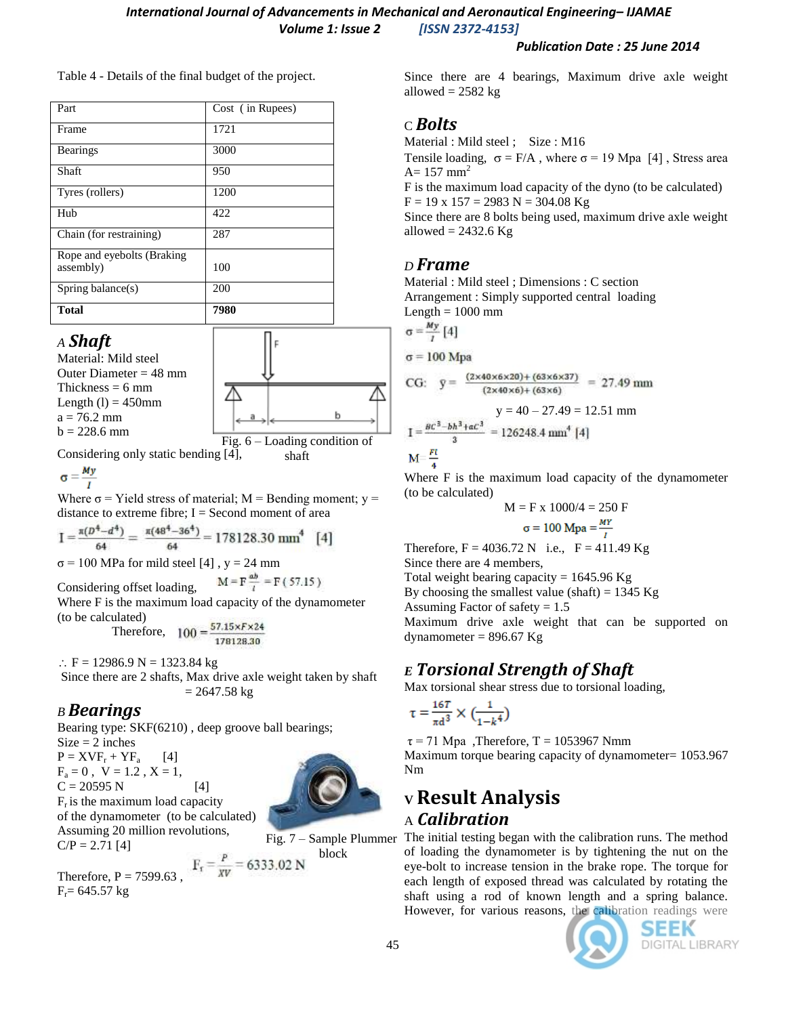#### *Publication Date : 25 June 2014*

Table 4 - Details of the final budget of the project.

| Part                                     | Cost (in Rupees) |
|------------------------------------------|------------------|
| Frame                                    | 1721             |
| <b>Bearings</b>                          | 3000             |
| Shaft                                    | 950              |
| Tyres (rollers)                          | 1200             |
| Hub                                      | 422              |
| Chain (for restraining)                  | 287              |
| Rope and eyebolts (Braking)<br>assembly) | 100              |
| Spring balance $(s)$                     | 200              |
| <b>Total</b>                             | 7980             |

### *A Shaft*

Material: Mild steel Outer Diameter  $= 48$  mm Thickness  $= 6$  mm Length  $(l) = 450$ mm  $a = 76.2$  mm  $b = 228.6$  mm



shaft

Considering only static bending [4],

$$
\sigma = \frac{My}{I}
$$

Where  $\sigma$  = Yield stress of material; M = Bending moment;  $y =$ distance to extreme fibre;  $I = Second$  moment of area

 $I = \frac{\pi (D^4 - d^4)}{64} = \frac{\pi (48^4 - 36^4)}{64} = 178128.30$  mm<sup>4</sup> [4]

 $\sigma$  = 100 MPa for mild steel [4], y = 24 mm

$$
M = F \frac{ab}{l} = F(57.15)
$$

Considering offset loading, Where F is the maximum load capacity of the dynamometer (to be calculated)

Therefore,  $100 = \frac{57.15 \times F \times 24}{178128.30}$ 

 $\therefore$  F = 12986.9 N = 1323.84 kg

Since there are 2 shafts, Max drive axle weight taken by shaft  $= 2647.58$  kg

## *B Bearings*

Bearing type: SKF(6210) , deep groove ball bearings;  $Size = 2$  inches

 $P = XVF_r + YF_a$  [4]  $F_a = 0$ ,  $V = 1.2$ ,  $X = 1$ ,  $C = 20595 N$  [4]  $F_r$  is the maximum load capacity of the dynamometer (to be calculated) Assuming 20 million revolutions,  $C/P = 2.71$  [4]



block

Therefore, P = 7599.63,  $F_r = \frac{P}{xV} = 6333.02$  N  $F_r = 645.57$  kg

Since there are 4 bearings, Maximum drive axle weight allowed  $= 2582$  kg

### C *Bolts*

Material : Mild steel ; Size : M16

Tensile loading,  $\sigma = F/A$ , where  $\sigma = 19$  Mpa [4], Stress area  $A= 157$  mm<sup>2</sup>

F is the maximum load capacity of the dyno (to be calculated)  $F = 19$  x  $157 = 2983$  N = 304.08 Kg

Since there are 8 bolts being used, maximum drive axle weight allowed  $= 2432.6$  Kg

### *D Frame*

Material : Mild steel ; Dimensions : C section Arrangement : Simply supported central loading

Length  $= 1000$  mm  $\overline{u}$ 

$$
\sigma = \frac{my}{l} [4]
$$

 $\sigma = 100$  Mpa

CG: 
$$
g = \frac{(2 \times 40 \times 6 \times 20) + (63 \times 6 \times 37)}{(2 \times 40 \times 6) + (63 \times 6)} = 27.49 \text{ mm}
$$

$$
y = 40 - 27.49 = 12.51 \text{ mm}
$$

$$
I = \frac{BC^3 - bh^3 + ac^3}{3} = 126248.4 \text{ mm}^4 \text{ [4]}
$$

$$
M = \frac{FL}{3}
$$

Where F is the maximum load capacity of the dynamometer (to be calculated)

$$
M = F x 1000/4 = 250 F
$$

$$
\sigma = 100 Mpa = \frac{nr}{l}
$$

Therefore,  $F = 4036.72$  N i.e.,  $F = 411.49$  Kg

Since there are 4 members,

Total weight bearing capacity =  $1645.96$  Kg

By choosing the smallest value (shaft) =  $1345$  Kg

Assuming Factor of safety  $= 1.5$ 

Maximum drive axle weight that can be supported on dynamometer =  $896.67$  Kg

# *E Torsional Strength of Shaft*

Max torsional shear stress due to torsional loading,

$$
\tau = \frac{16T}{\pi d^3} \times \left(\frac{1}{1 - k^4}\right)
$$

 $\tau$  = 71 Mpa , Therefore, T = 1053967 Nmm Maximum torque bearing capacity of dynamometer= 1053.967 Nm

# **<sup>V</sup> Result Analysis** A *Calibration*

The initial testing began with the calibration runs. The method of loading the dynamometer is by tightening the nut on the eye-bolt to increase tension in the brake rope. The torque for each length of exposed thread was calculated by rotating the shaft using a rod of known length and a spring balance. However, for various reasons, the calibration readings were



SEEK DIGITAL LIBRARY